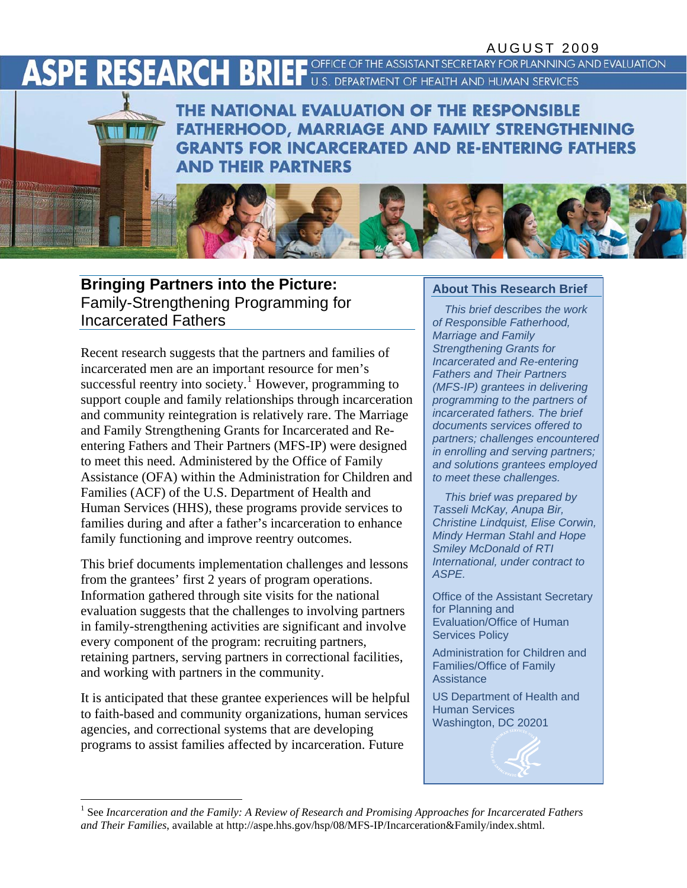OFFICE OF THE ASSISTANT SECRETARY FOR PLANNING AND EVALUATION

U.S. DEPARTMENT OF HEALTH AND HUMAN SERVICES

# ASPE RESEARCH BRIE

THE NATIONAL EVALUATION OF THE RESPONSIBLE **FATHERHOOD, MARRIAGE AND FAMILY STRENGTHENING GRANTS FOR INCARCERATED AND RE-ENTERING FATHERS AND THEIR PARTNERS** 

## **Bringing Partners into the Picture:** About This Research Brief Family-Strengthening Programming for Incarcerated Fathers

Recent research suggests that the partners and families of incarcerated men are an important resource for men's successful reentry into society.<sup>[1](#page-0-0)</sup> However, programming to support couple and family relationships through incarceration and community reintegration is relatively rare. The Marriage and Family Strengthening Grants for Incarcerated and Reentering Fathers and Their Partners (MFS-IP) were designed to meet this need. Administered by the Office of Family Assistance (OFA) within the Administration for Children and Families (ACF) of the U.S. Department of Health and Human Services (HHS), these programs provide services to families during and after a father's incarceration to enhance family functioning and improve reentry outcomes.

This brief documents implementation challenges and lessons *Internal*<br>from the constant 2 mass of success constructions ASPE. from the grantees' first 2 years of program operations. Information gathered through site visits for the national evaluation suggests that the challenges to involving partners in family-strengthening activities are significant and involve every component of the program: recruiting partners, retaining partners, serving partners in correctional facilities, and working with partners in the community.

It is anticipated that these grantee experiences will be helpful to faith-based and community organizations, human services agencies, and correctional systems that are developing programs to assist families affected by incarceration. Future

*This brief describes the work of Responsible Fatherhood, Marriage and Family Strengthening Grants for Incarcerated and Re-entering Fathers and Their Partners (MFS-IP) grantees in delivering programming to the partners of incarcerated fathers. The brief documents services offered to partners; challenges encountered in enrolling and serving partners; and solutions grantees employed to meet these challenges.* 

*This brief was prepared by Tasseli McKay, Anupa Bir, Christine Lindquist, Elise Corwin, Mindy Herman Stahl and Hope Smiley McDonald of RTI International, under contract to* 

Office of the Assistant Secretary for Planning and Evaluation/Office of Human Services Policy

Administration for Children and Families/Office of Family **Assistance** 

US Department of Health and Human Services Washington, DC 20201

<span id="page-0-0"></span>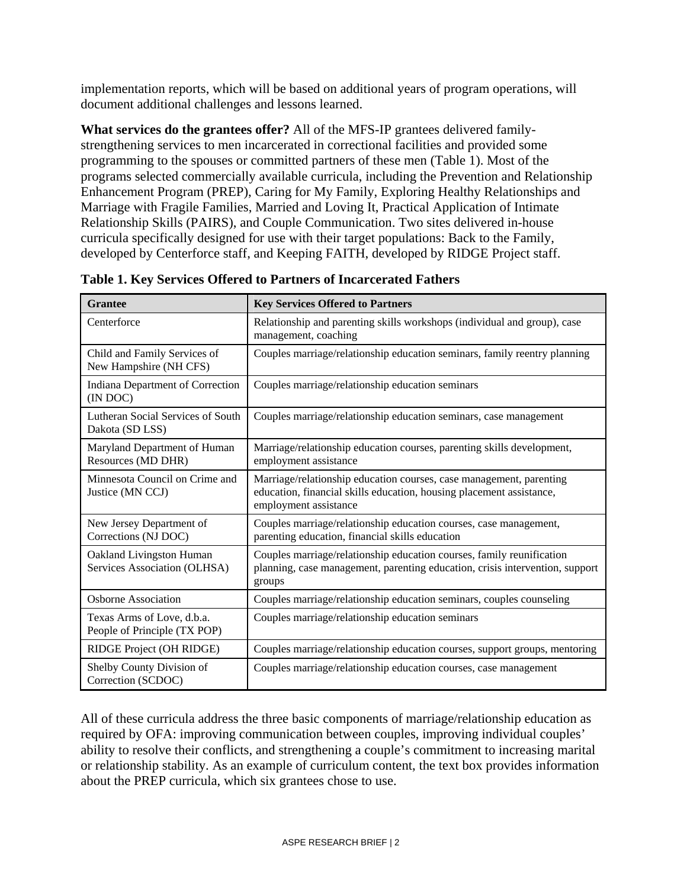implementation reports, which will be based on additional years of program operations, will document additional challenges and lessons learned.

**What services do the grantees offer?** All of the MFS-IP grantees delivered familystrengthening services to men incarcerated in correctional facilities and provided some programming to the spouses or committed partners of these men (Table 1). Most of the programs selected commercially available curricula, including the Prevention and Relationship Enhancement Program (PREP), Caring for My Family, Exploring Healthy Relationships and Marriage with Fragile Families, Married and Loving It, Practical Application of Intimate Relationship Skills (PAIRS), and Couple Communication. Two sites delivered in-house curricula specifically designed for use with their target populations: Back to the Family, developed by Centerforce staff, and Keeping FAITH, developed by RIDGE Project staff.

| <b>Grantee</b>                                             | <b>Key Services Offered to Partners</b>                                                                                                                              |
|------------------------------------------------------------|----------------------------------------------------------------------------------------------------------------------------------------------------------------------|
| Centerforce                                                | Relationship and parenting skills workshops (individual and group), case<br>management, coaching                                                                     |
| Child and Family Services of<br>New Hampshire (NH CFS)     | Couples marriage/relationship education seminars, family reentry planning                                                                                            |
| Indiana Department of Correction<br>(IN DOC)               | Couples marriage/relationship education seminars                                                                                                                     |
| Lutheran Social Services of South<br>Dakota (SD LSS)       | Couples marriage/relationship education seminars, case management                                                                                                    |
| Maryland Department of Human<br>Resources (MD DHR)         | Marriage/relationship education courses, parenting skills development,<br>employment assistance                                                                      |
| Minnesota Council on Crime and<br>Justice (MN CCJ)         | Marriage/relationship education courses, case management, parenting<br>education, financial skills education, housing placement assistance,<br>employment assistance |
| New Jersey Department of<br>Corrections (NJ DOC)           | Couples marriage/relationship education courses, case management,<br>parenting education, financial skills education                                                 |
| Oakland Livingston Human<br>Services Association (OLHSA)   | Couples marriage/relationship education courses, family reunification<br>planning, case management, parenting education, crisis intervention, support<br>groups      |
| <b>Osborne Association</b>                                 | Couples marriage/relationship education seminars, couples counseling                                                                                                 |
| Texas Arms of Love, d.b.a.<br>People of Principle (TX POP) | Couples marriage/relationship education seminars                                                                                                                     |
| RIDGE Project (OH RIDGE)                                   | Couples marriage/relationship education courses, support groups, mentoring                                                                                           |
| Shelby County Division of<br>Correction (SCDOC)            | Couples marriage/relationship education courses, case management                                                                                                     |

**Table 1. Key Services Offered to Partners of Incarcerated Fathers** 

All of these curricula address the three basic components of marriage/relationship education as required by OFA: improving communication between couples, improving individual couples' ability to resolve their conflicts, and strengthening a couple's commitment to increasing marital or relationship stability. As an example of curriculum content, the text box provides information about the PREP curricula, which six grantees chose to use.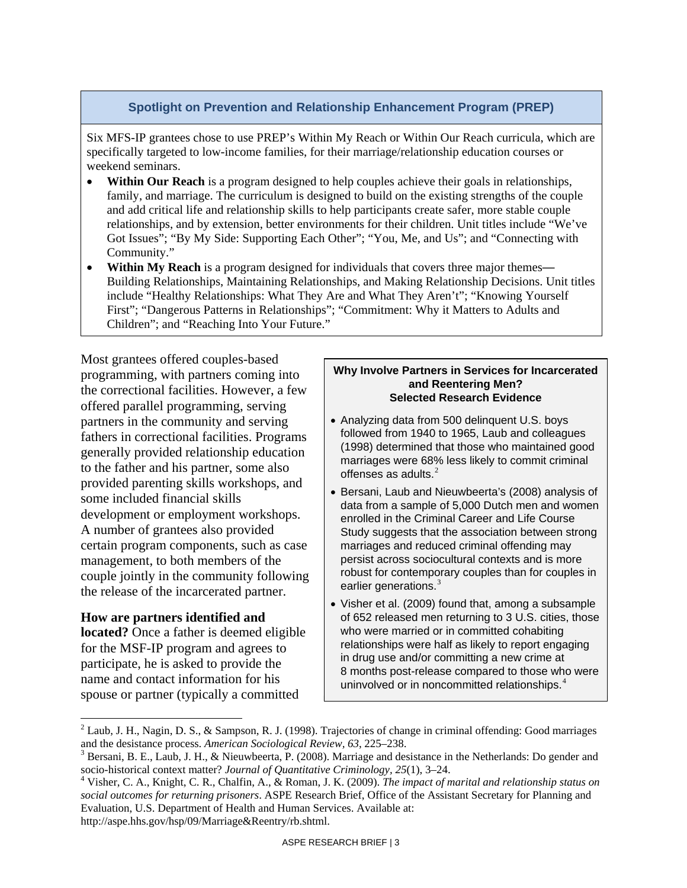#### **Spotlight on Prevention and Relationship Enhancement Program (PREP)**

Six MFS-IP grantees chose to use PREP's Within My Reach or Within Our Reach curricula, which are specifically targeted to low-income families, for their marriage/relationship education courses or weekend seminars.

- **Within Our Reach** is a program designed to help couples achieve their goals in relationships, family, and marriage. The curriculum is designed to build on the existing strengths of the couple and add critical life and relationship skills to help participants create safer, more stable couple relationships, and by extension, better environments for their children. Unit titles include "We've Got Issues"; "By My Side: Supporting Each Other"; "You, Me, and Us"; and "Connecting with Community."
- **Within My Reach** is a program designed for individuals that covers three major themes— Building Relationships, Maintaining Relationships, and Making Relationship Decisions. Unit titles include "Healthy Relationships: What They Are and What They Aren't"; "Knowing Yourself First"; "Dangerous Patterns in Relationships"; "Commitment: Why it Matters to Adults and Children"; and "Reaching Into Your Future."

Most grantees offered couples-based programming, with partners coming into the correctional facilities. However, a few offered parallel programming, serving partners in the community and serving fathers in correctional facilities. Programs generally provided relationship education to the father and his partner, some also provided parenting skills workshops, and some included financial skills development or employment workshops. A number of grantees also provided certain program components, such as case management, to both members of the couple jointly in the community following the release of the incarcerated partner.

#### **How are partners identified and**

 $\overline{a}$ 

**located?** Once a father is deemed eligible for the MSF-IP program and agrees to participate, he is asked to provide the name and contact information for his spouse or partner (typically a committed

#### **Why Involve Partners in Services for Incarcerated and Reentering Men? Selected Research Evidence**

- Analyzing data from 500 delinquent U.S. boys followed from 1940 to 1965, Laub and colleagues (1998) determined that those who maintained good marriages were 68% less likely to commit criminal offenses as adults.<sup>[2](#page-2-0)</sup>
- Bersani, Laub and Nieuwbeerta's (2008) analysis of data from a sample of 5,000 Dutch men and women enrolled in the Criminal Career and Life Course Study suggests that the association between strong marriages and reduced criminal offending may persist across sociocultural contexts and is more robust for contemporary couples than for couples in earlier generations.<sup>[3](#page-2-1)</sup>
- Visher et al. (2009) found that, among a subsample of 652 released men returning to 3 U.S. cities, those who were married or in committed cohabiting relationships were half as likely to report engaging in drug use and/or committing a new crime at 8 months post-release compared to those who were uninvolved or in noncommitted relationships.<sup>[4](#page-2-2)</sup>

<span id="page-2-0"></span><sup>&</sup>lt;sup>2</sup> Laub, J. H., Nagin, D. S., & Sampson, R. J. (1998). Trajectories of change in criminal offending: Good marriages and the desistance process. *American Sociological Review, 63*, 225–238. 3

<span id="page-2-1"></span> $3$  Bersani, B. E., Laub, J. H., & Nieuwbeerta, P. (2008). Marriage and desistance in the Netherlands: Do gender and socio-historical context matter? *Journal of Quantitative Criminology*, 25(1), 3-24.

<span id="page-2-2"></span>Visher, C. A., Knight, C. R., Chalfin, A., & Roman, J. K. (2009). *The impact of marital and relationship status on social outcomes for returning prisoners*. ASPE Research Brief, Office of the Assistant Secretary for Planning and Evaluation, U.S. Department of Health and Human Services. Available at: http://aspe.hhs.gov/hsp/09/Marriage&Reentry/rb.shtml.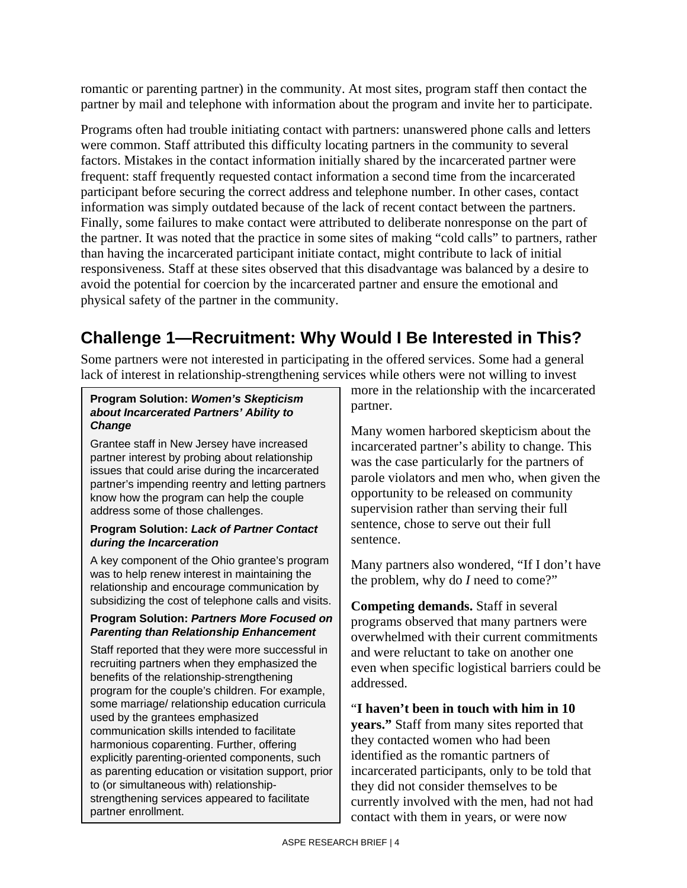romantic or parenting partner) in the community. At most sites, program staff then contact the partner by mail and telephone with information about the program and invite her to participate.

Programs often had trouble initiating contact with partners: unanswered phone calls and letters were common. Staff attributed this difficulty locating partners in the community to several factors. Mistakes in the contact information initially shared by the incarcerated partner were frequent: staff frequently requested contact information a second time from the incarcerated participant before securing the correct address and telephone number. In other cases, contact information was simply outdated because of the lack of recent contact between the partners. Finally, some failures to make contact were attributed to deliberate nonresponse on the part of the partner. It was noted that the practice in some sites of making "cold calls" to partners, rather than having the incarcerated participant initiate contact, might contribute to lack of initial responsiveness. Staff at these sites observed that this disadvantage was balanced by a desire to avoid the potential for coercion by the incarcerated partner and ensure the emotional and physical safety of the partner in the community.

## **Challenge 1—Recruitment: Why Would I Be Interested in This?**

Some partners were not interested in participating in the offered services. Some had a general lack of interest in relationship-strengthening services while others were not willing to invest

#### **Program Solution:** *Women's Skepticism about Incarcerated Partners' Ability to Change*

Grantee staff in New Jersey have increased partner interest by probing about relationship issues that could arise during the incarcerated partner's impending reentry and letting partners know how the program can help the couple address some of those challenges.

#### **Program Solution:** *Lack of Partner Contact during the Incarceration*

A key component of the Ohio grantee's program was to help renew interest in maintaining the relationship and encourage communication by subsidizing the cost of telephone calls and visits.

#### **Program Solution:** *Partners More Focused on Parenting than Relationship Enhancement*

Staff reported that they were more successful in recruiting partners when they emphasized the benefits of the relationship-strengthening program for the couple's children. For example, some marriage/ relationship education curricula used by the grantees emphasized communication skills intended to facilitate harmonious coparenting. Further, offering explicitly parenting-oriented components, such as parenting education or visitation support, prior to (or simultaneous with) relationshipstrengthening services appeared to facilitate partner enrollment.

more in the relationship with the incarcerated partner.

Many women harbored skepticism about the incarcerated partner's ability to change. This was the case particularly for the partners of parole violators and men who, when given the opportunity to be released on community supervision rather than serving their full sentence, chose to serve out their full sentence.

Many partners also wondered, "If I don't have the problem, why do *I* need to come?"

**Competing demands.** Staff in several programs observed that many partners were overwhelmed with their current commitments and were reluctant to take on another one even when specific logistical barriers could be addressed.

## "**I haven't been in touch with him in 10**

**years."** Staff from many sites reported that they contacted women who had been identified as the romantic partners of incarcerated participants, only to be told that they did not consider themselves to be currently involved with the men, had not had contact with them in years, or were now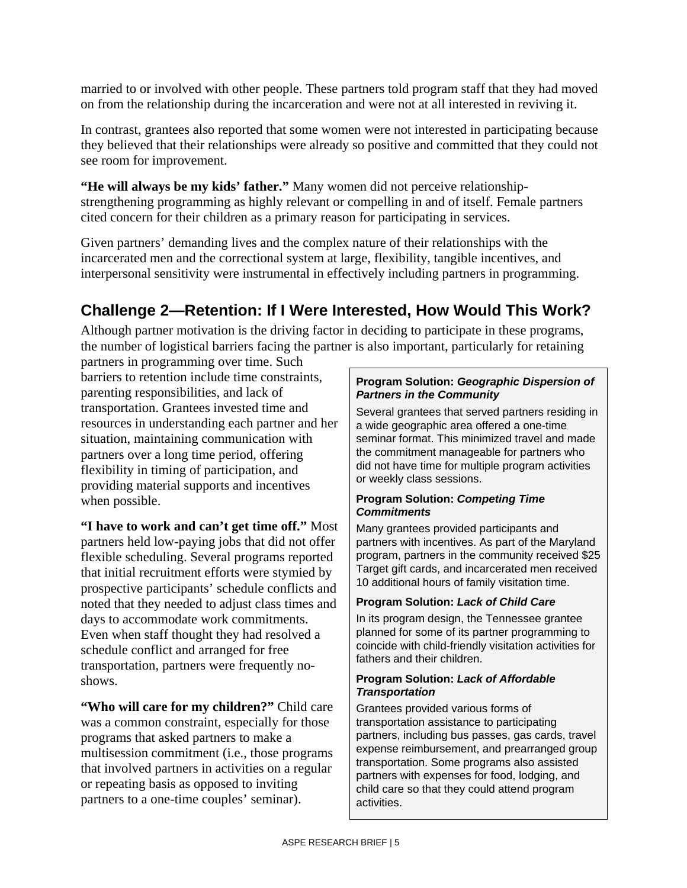married to or involved with other people. These partners told program staff that they had moved on from the relationship during the incarceration and were not at all interested in reviving it.

In contrast, grantees also reported that some women were not interested in participating because they believed that their relationships were already so positive and committed that they could not see room for improvement.

**"He will always be my kids' father."** Many women did not perceive relationshipstrengthening programming as highly relevant or compelling in and of itself. Female partners cited concern for their children as a primary reason for participating in services.

Given partners' demanding lives and the complex nature of their relationships with the incarcerated men and the correctional system at large, flexibility, tangible incentives, and interpersonal sensitivity were instrumental in effectively including partners in programming.

## **Challenge 2—Retention: If I Were Interested, How Would This Work?**

Although partner motivation is the driving factor in deciding to participate in these programs, the number of logistical barriers facing the partner is also important, particularly for retaining

partners in programming over time. Such barriers to retention include time constraints, parenting responsibilities, and lack of transportation. Grantees invested time and resources in understanding each partner and her situation, maintaining communication with partners over a long time period, offering flexibility in timing of participation, and providing material supports and incentives when possible.

**"I have to work and can't get time off."** Most partners held low-paying jobs that did not offer flexible scheduling. Several programs reported that initial recruitment efforts were stymied by prospective participants' schedule conflicts and noted that they needed to adjust class times and days to accommodate work commitments. Even when staff thought they had resolved a schedule conflict and arranged for free transportation, partners were frequently noshows.

**"Who will care for my children?"** Child care was a common constraint, especially for those programs that asked partners to make a multisession commitment (i.e., those programs that involved partners in activities on a regular or repeating basis as opposed to inviting partners to a one-time couples' seminar).

#### **Program Solution:** *Geographic Dispersion of Partners in the Community*

Several grantees that served partners residing in a wide geographic area offered a one-time seminar format. This minimized travel and made the commitment manageable for partners who did not have time for multiple program activities or weekly class sessions.

#### **Program Solution:** *Competing Time Commitments*

Many grantees provided participants and partners with incentives. As part of the Maryland program, partners in the community received \$25 Target gift cards, and incarcerated men received 10 additional hours of family visitation time.

#### **Program Solution:** *Lack of Child Care*

In its program design, the Tennessee grantee planned for some of its partner programming to coincide with child-friendly visitation activities for fathers and their children.

#### **Program Solution:** *Lack of Affordable Transportation*

Grantees provided various forms of transportation assistance to participating partners, including bus passes, gas cards, travel expense reimbursement, and prearranged group transportation. Some programs also assisted partners with expenses for food, lodging, and child care so that they could attend program activities.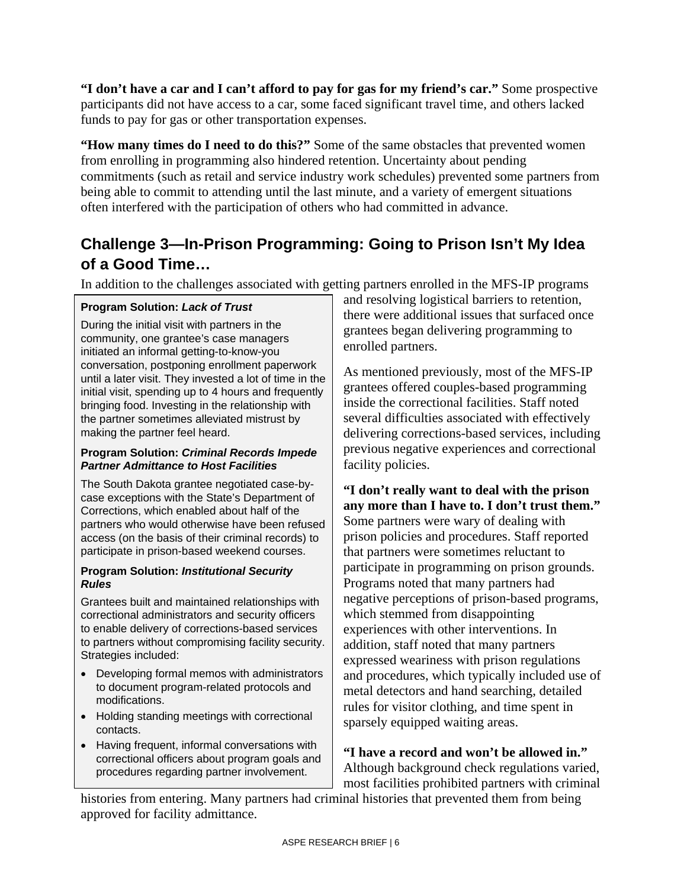**"I don't have a car and I can't afford to pay for gas for my friend's car."** Some prospective participants did not have access to a car, some faced significant travel time, and others lacked funds to pay for gas or other transportation expenses.

**"How many times do I need to do this?"** Some of the same obstacles that prevented women from enrolling in programming also hindered retention. Uncertainty about pending commitments (such as retail and service industry work schedules) prevented some partners from being able to commit to attending until the last minute, and a variety of emergent situations often interfered with the participation of others who had committed in advance.

## **Challenge 3—In-Prison Programming: Going to Prison Isn't My Idea of a Good Time…**

In addition to the challenges associated with getting partners enrolled in the MFS-IP programs

#### **Program Solution:** *Lack of Trust*

During the initial visit with partners in the community, one grantee's case managers initiated an informal getting-to-know-you conversation, postponing enrollment paperwork until a later visit. They invested a lot of time in the initial visit, spending up to 4 hours and frequently bringing food. Investing in the relationship with the partner sometimes alleviated mistrust by making the partner feel heard.

#### **Program Solution:** *Criminal Records Impede Partner Admittance to Host Facilities*

The South Dakota grantee negotiated case-bycase exceptions with the State's Department of Corrections, which enabled about half of the partners who would otherwise have been refused access (on the basis of their criminal records) to participate in prison-based weekend courses.

#### **Program Solution:** *Institutional Security Rules*

Grantees built and maintained relationships with correctional administrators and security officers to enable delivery of corrections-based services to partners without compromising facility security. Strategies included:

- Developing formal memos with administrators to document program-related protocols and modifications.
- Holding standing meetings with correctional contacts.
- Having frequent, informal conversations with correctional officers about program goals and procedures regarding partner involvement.

and resolving logistical barriers to retention, there were additional issues that surfaced once grantees began delivering programming to enrolled partners.

As mentioned previously, most of the MFS-IP grantees offered couples-based programming inside the correctional facilities. Staff noted several difficulties associated with effectively delivering corrections-based services, including previous negative experiences and correctional facility policies.

**"I don't really want to deal with the prison any more than I have to. I don't trust them."**  Some partners were wary of dealing with prison policies and procedures. Staff reported that partners were sometimes reluctant to participate in programming on prison grounds. Programs noted that many partners had negative perceptions of prison-based programs, which stemmed from disappointing experiences with other interventions. In addition, staff noted that many partners expressed weariness with prison regulations and procedures, which typically included use of metal detectors and hand searching, detailed rules for visitor clothing, and time spent in sparsely equipped waiting areas.

**"I have a record and won't be allowed in."**  Although background check regulations varied, most facilities prohibited partners with criminal

histories from entering. Many partners had criminal histories that prevented them from being approved for facility admittance.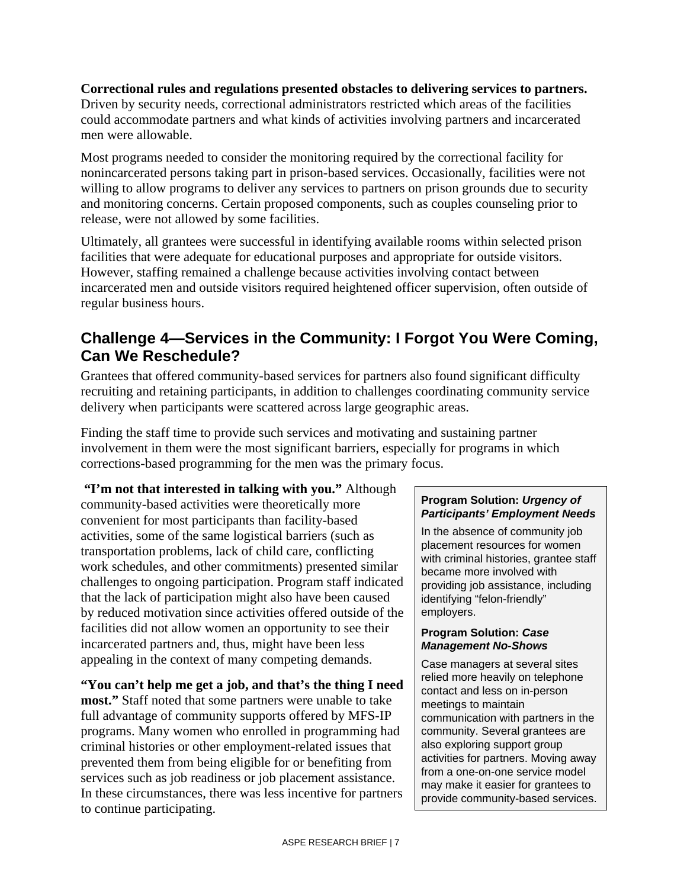**Correctional rules and regulations presented obstacles to delivering services to partners.** Driven by security needs, correctional administrators restricted which areas of the facilities could accommodate partners and what kinds of activities involving partners and incarcerated men were allowable.

Most programs needed to consider the monitoring required by the correctional facility for nonincarcerated persons taking part in prison-based services. Occasionally, facilities were not willing to allow programs to deliver any services to partners on prison grounds due to security and monitoring concerns. Certain proposed components, such as couples counseling prior to release, were not allowed by some facilities.

Ultimately, all grantees were successful in identifying available rooms within selected prison facilities that were adequate for educational purposes and appropriate for outside visitors. However, staffing remained a challenge because activities involving contact between incarcerated men and outside visitors required heightened officer supervision, often outside of regular business hours.

## **Challenge 4—Services in the Community: I Forgot You Were Coming, Can We Reschedule?**

Grantees that offered community-based services for partners also found significant difficulty recruiting and retaining participants, in addition to challenges coordinating community service delivery when participants were scattered across large geographic areas.

Finding the staff time to provide such services and motivating and sustaining partner involvement in them were the most significant barriers, especially for programs in which corrections-based programming for the men was the primary focus.

 **"I'm not that interested in talking with you."** Although community-based activities were theoretically more convenient for most participants than facility-based activities, some of the same logistical barriers (such as transportation problems, lack of child care, conflicting work schedules, and other commitments) presented similar challenges to ongoing participation. Program staff indicated that the lack of participation might also have been caused by reduced motivation since activities offered outside of the facilities did not allow women an opportunity to see their incarcerated partners and, thus, might have been less appealing in the context of many competing demands.

**"You can't help me get a job, and that's the thing I need most."** Staff noted that some partners were unable to take full advantage of community supports offered by MFS-IP programs. Many women who enrolled in programming had criminal histories or other employment-related issues that prevented them from being eligible for or benefiting from services such as job readiness or job placement assistance. In these circumstances, there was less incentive for partners to continue participating.

#### **Program Solution:** *Urgency of Participants' Employment Needs*

In the absence of community job placement resources for women with criminal histories, grantee staff became more involved with providing job assistance, including identifying "felon-friendly" employers.

#### **Program Solution:** *Case Management No-Shows*

Case managers at several sites relied more heavily on telephone contact and less on in-person meetings to maintain communication with partners in the community. Several grantees are also exploring support group activities for partners. Moving away from a one-on-one service model may make it easier for grantees to provide community-based services.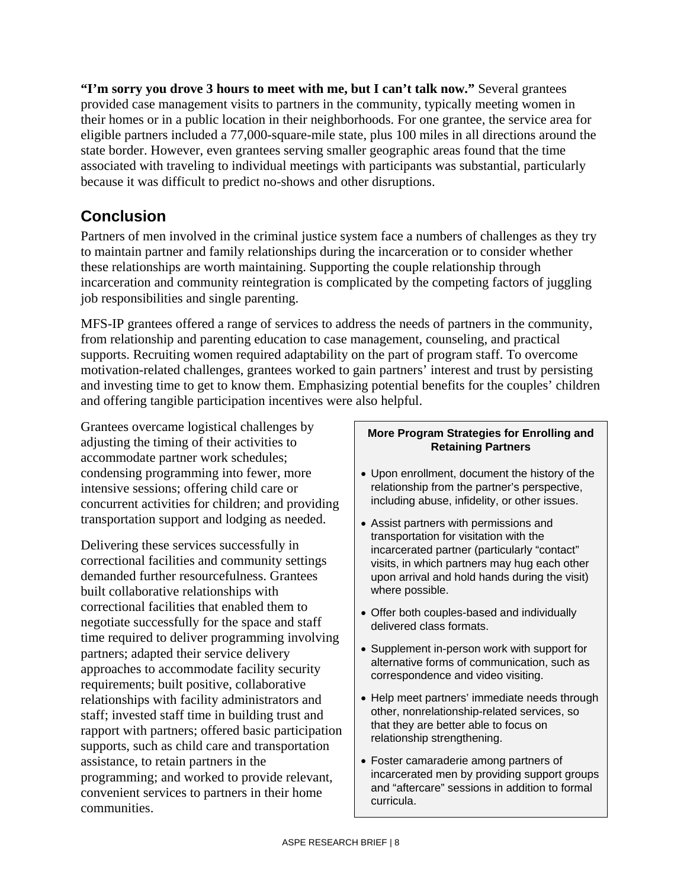**"I'm sorry you drove 3 hours to meet with me, but I can't talk now."** Several grantees provided case management visits to partners in the community, typically meeting women in their homes or in a public location in their neighborhoods. For one grantee, the service area for eligible partners included a 77,000-square-mile state, plus 100 miles in all directions around the state border. However, even grantees serving smaller geographic areas found that the time associated with traveling to individual meetings with participants was substantial, particularly because it was difficult to predict no-shows and other disruptions.

## **Conclusion**

Partners of men involved in the criminal justice system face a numbers of challenges as they try to maintain partner and family relationships during the incarceration or to consider whether these relationships are worth maintaining. Supporting the couple relationship through incarceration and community reintegration is complicated by the competing factors of juggling job responsibilities and single parenting.

MFS-IP grantees offered a range of services to address the needs of partners in the community, from relationship and parenting education to case management, counseling, and practical supports. Recruiting women required adaptability on the part of program staff. To overcome motivation-related challenges, grantees worked to gain partners' interest and trust by persisting and investing time to get to know them. Emphasizing potential benefits for the couples' children and offering tangible participation incentives were also helpful.

Grantees overcame logistical challenges by adjusting the timing of their activities to accommodate partner work schedules; condensing programming into fewer, more intensive sessions; offering child care or concurrent activities for children; and providing transportation support and lodging as needed.

Delivering these services successfully in correctional facilities and community settings demanded further resourcefulness. Grantees built collaborative relationships with correctional facilities that enabled them to negotiate successfully for the space and staff time required to deliver programming involving partners; adapted their service delivery approaches to accommodate facility security requirements; built positive, collaborative relationships with facility administrators and staff; invested staff time in building trust and rapport with partners; offered basic participation supports, such as child care and transportation assistance, to retain partners in the programming; and worked to provide relevant, convenient services to partners in their home communities.

#### **More Program Strategies for Enrolling and Retaining Partners**

- Upon enrollment, document the history of the relationship from the partner's perspective, including abuse, infidelity, or other issues.
- Assist partners with permissions and transportation for visitation with the incarcerated partner (particularly "contact" visits, in which partners may hug each other upon arrival and hold hands during the visit) where possible.
- Offer both couples-based and individually delivered class formats.
- Supplement in-person work with support for alternative forms of communication, such as correspondence and video visiting.
- Help meet partners' immediate needs through other, nonrelationship-related services, so that they are better able to focus on relationship strengthening.
- Foster camaraderie among partners of incarcerated men by providing support groups and "aftercare" sessions in addition to formal curricula.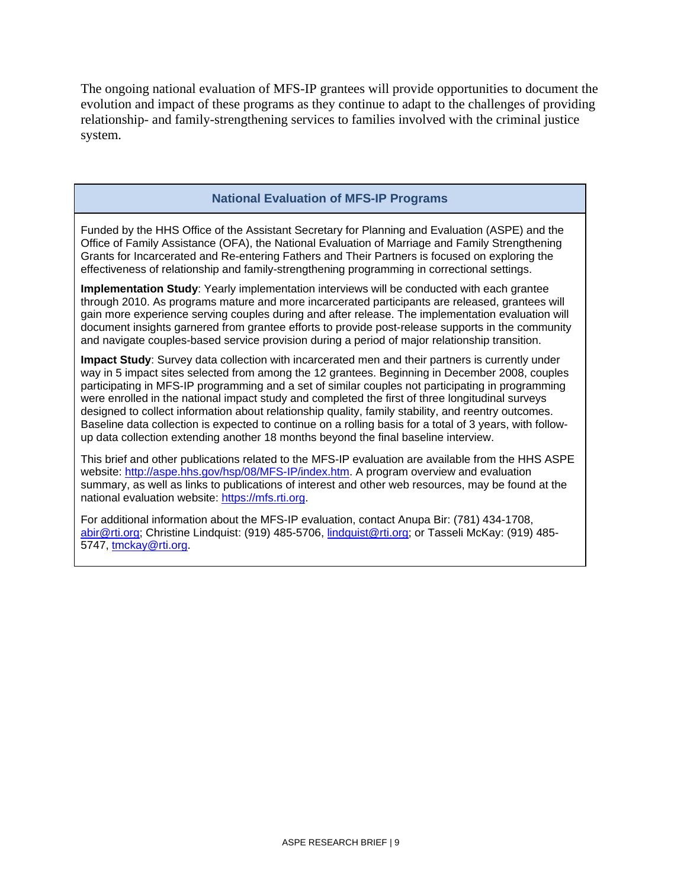The ongoing national evaluation of MFS-IP grantees will provide opportunities to document the evolution and impact of these programs as they continue to adapt to the challenges of providing relationship- and family-strengthening services to families involved with the criminal justice system.

#### **National Evaluation of MFS-IP Programs**

Funded by the HHS Office of the Assistant Secretary for Planning and Evaluation (ASPE) and the Office of Family Assistance (OFA), the National Evaluation of Marriage and Family Strengthening Grants for Incarcerated and Re-entering Fathers and Their Partners is focused on exploring the effectiveness of relationship and family-strengthening programming in correctional settings.

**Implementation Study**: Yearly implementation interviews will be conducted with each grantee through 2010. As programs mature and more incarcerated participants are released, grantees will gain more experience serving couples during and after release. The implementation evaluation will document insights garnered from grantee efforts to provide post-release supports in the community and navigate couples-based service provision during a period of major relationship transition.

**Impact Study**: Survey data collection with incarcerated men and their partners is currently under way in 5 impact sites selected from among the 12 grantees. Beginning in December 2008, couples participating in MFS-IP programming and a set of similar couples not participating in programming were enrolled in the national impact study and completed the first of three longitudinal surveys designed to collect information about relationship quality, family stability, and reentry outcomes. Baseline data collection is expected to continue on a rolling basis for a total of 3 years, with followup data collection extending another 18 months beyond the final baseline interview.

This brief and other publications related to the MFS-IP evaluation are available from the HHS ASPE website: [http://aspe.hhs.gov/hsp/08/MFS-IP/index.htm.](http://aspe.hhs.gov/hsp/08/MFS-IP/index.htm) A program overview and evaluation summary, as well as links to publications of interest and other web resources, may be found at the national evaluation website: [https://mfs.rti.org](https://mfs.rti.org/).

For additional information about the MFS-IP evaluation, contact Anupa Bir: (781) 434-1708, [abir@rti.org](mailto:abir@rti.org); Christine Lindquist: (919) 485-5706, [lindquist@rti.org](mailto:lindquist@rti.org); or Tasseli McKay: (919) 485- 5747, [tmckay@rti.org](mailto:tmckay@rti.org).